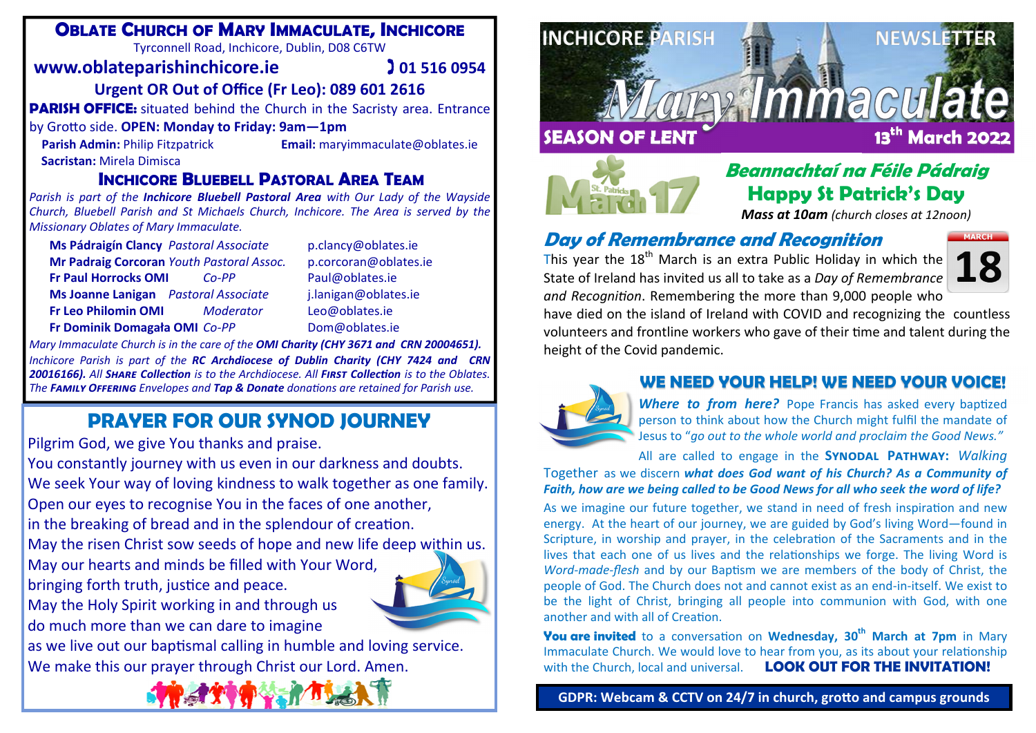## **OBLATE CHURCH OF MARY IMMACULATE, INCHICORE**

Tyrconnell Road, Inchicore, Dublin, D08 C6TW

#### **www.oblateparishinchicore.ie**

 **01 516 0954** 

### **Urgent OR Out of O ffice (Fr Leo): 089 601 2616**

**PARISH OFFICE:** situated behind the Church in the Sacristy area. Entrance

#### by Gro Ʃ o side. **OPEN: Monday to Friday: 9am—1pm**

**Sacristan:** Mirela Dimisca

**Parish Admin:** Philip Fitzpatrick **Email:** maryimmaculate@oblates.ie

## **INCHICORE BLUEBELL PASTORAL AREA TEAM**

*Parish is part of the Inchicore Bluebell Pastoral Area with Our Lady of the Wayside Church, Bluebell Parish and St Michaels Church, Inchicore. The Area is served by the Missionary Oblates of Mary Immaculate.*

| Ms Pádraigín Clancy Pastoral Associate    |                  |
|-------------------------------------------|------------------|
| Mr Padraig Corcoran Youth Pastoral Assoc. |                  |
| <b>Fr Paul Horrocks OMI</b>               | $Co-PP$          |
| Ms Joanne Lanigan Pastoral Associate      |                  |
| <b>Fr Leo Philomin OMI</b>                | <i>Moderator</i> |
| Fr Dominik Domagała OMI Co-PP             |                  |

**Ms Pádraigín Clancy** *Pastoral Associate* p.clancy@oblates.ie **Mr Padraig Corcoran** *Youth Pastoral Assoc.* p.corcoran@oblates.ie Paul@oblates.ie **Ms Joanne Lanigan** *Pastoral Associate* j.lanigan@oblates.ie Leo@oblates.ie **Fr Dominik Domagała OMI** *Co‐PP* Dom@oblates.ie

*Mary Immaculate Church is in the care of the OMI Charity (CHY 3671 and CRN 20004651). Inchicore Parish is part of the RC Archdiocese of Dublin Charity (CHY 7424 and CRN*  20016166). All SHARE Collection is to the Archdiocese. All FIRST Collection is to the Oblates. *The Fî½ù O¥¥Ù®Ä¦ Envelopes and Tap & Donate dona Ɵons are retained for Parish use.*

## **PRAYER FOR OUR SYNOD JOURNEY**

Pilgrim God, we give You thanks and praise.

You constantly journey with us even in our darkness and doubts. We seek Your way of loving kindness to walk together as one family. Open our eyes to recognise You in the faces of one another, in the breaking of bread and in the splendour of creation. May the risen Christ sow seeds of hope and new life deep within us. May our hearts and minds be filled with Your Word,



bringing forth truth, justice and peace. May the Holy Spirit working in and through us do much more than we can dare to imagine

as we live out our baptismal calling in humble and loving service. We make this our prayer through Christ our Lord. Amen.







## **Beannachtaí na Féile Pádraig Happy St Patrick's Day**

*Mass at 10am (church closes at 12noon)*

## **Day of Remembrance and Recognition**

This year the  $18^{th}$  March is an extra Public Holiday in which the State of Ireland has invited us all to take as <sup>a</sup> *Day of Remembrance and Recogni Ɵon*. Remembering the more than 9,000 people who



have died on the island of Ireland with COVID and recognizing the countless volunteers and frontline workers who gave of their time and talent during the height of the Covid pandemic.



## **WE NEED YOUR HELP! WE NEED YOUR VOICE!**

Where to from here? Pope Francis has asked every baptized person to think about how the Church might ful fil the mandate of Jesus to "*go out to the whole world and proclaim the Good News."*

All are called to engage in the **SYNODAL PATHWAY:** Walking Together as we discern *what does God want of his Church? As a Community of* 

*Faith, how are we being called to be Good News for all who seek the word of life?* 

As we imagine our future together, we stand in need of fresh inspiration and new energy. At the heart of our journey, we are guided by God's living Word—found in Scripture, in worship and prayer, in the celebration of the Sacraments and in the lives that each one of us lives and the relationships we forge. The living Word is Word-made-flesh and by our Baptism we are members of the body of Christ, the people of God. The Church does not and cannot exist as an end‐in‐itself. We exist to be the light of Christ, bringing all people into communion with God, with one another and with all of Creation.

**You are invited** to a conversation on Wednesday, 30<sup>th</sup> March at 7pm in Mary Immaculate Church. We would love to hear from you, as its about your relationship with the Church, local and universal. **LOOK OUT FOR THE INVITATION!** 

**GDPR: Webcam & CCTV on 24/7 in church, gro Ʃo and campus grounds**